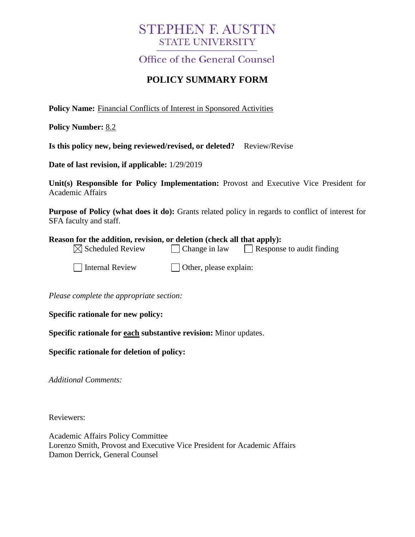# **STEPHEN F. AUSTIN STATE UNIVERSITY**

**Office of the General Counsel** 

## **POLICY SUMMARY FORM**

**Policy Name:** Financial Conflicts of Interest in Sponsored Activities

**Policy Number:** 8.2

**Is this policy new, being reviewed/revised, or deleted?** Review/Revise

**Date of last revision, if applicable:** 1/29/2019

**Unit(s) Responsible for Policy Implementation:** Provost and Executive Vice President for Academic Affairs

**Purpose of Policy (what does it do):** Grants related policy in regards to conflict of interest for SFA faculty and staff.

#### **Reason for the addition, revision, or deletion (check all that apply):**

| $\boxtimes$ Scheduled Review | $\Box$ Change in law | $\Box$ Response to audit finding |  |
|------------------------------|----------------------|----------------------------------|--|
|------------------------------|----------------------|----------------------------------|--|

 $\Box$  Internal Review  $\Box$  Other, please explain:

*Please complete the appropriate section:*

**Specific rationale for new policy:**

**Specific rationale for each substantive revision:** Minor updates.

**Specific rationale for deletion of policy:**

*Additional Comments:*

Reviewers:

Academic Affairs Policy Committee Lorenzo Smith, Provost and Executive Vice President for Academic Affairs Damon Derrick, General Counsel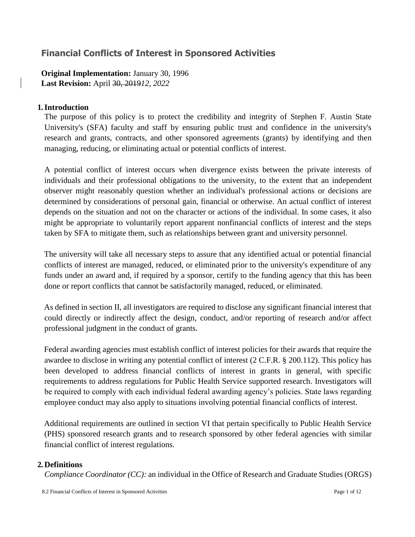## **Financial Conflicts of Interest in Sponsored Activities**

**Original Implementation:** January 30, 1996 **Last Revision:** April 30, 2019*12, 2022*

#### **1.Introduction**

The purpose of this policy is to protect the credibility and integrity of Stephen F. Austin State University's (SFA) faculty and staff by ensuring public trust and confidence in the university's research and grants, contracts, and other sponsored agreements (grants) by identifying and then managing, reducing, or eliminating actual or potential conflicts of interest.

A potential conflict of interest occurs when divergence exists between the private interests of individuals and their professional obligations to the university, to the extent that an independent observer might reasonably question whether an individual's professional actions or decisions are determined by considerations of personal gain, financial or otherwise. An actual conflict of interest depends on the situation and not on the character or actions of the individual. In some cases, it also might be appropriate to voluntarily report apparent nonfinancial conflicts of interest and the steps taken by SFA to mitigate them, such as relationships between grant and university personnel.

The university will take all necessary steps to assure that any identified actual or potential financial conflicts of interest are managed, reduced, or eliminated prior to the university's expenditure of any funds under an award and, if required by a sponsor, certify to the funding agency that this has been done or report conflicts that cannot be satisfactorily managed, reduced, or eliminated.

As defined in section II, all investigators are required to disclose any significant financial interest that could directly or indirectly affect the design, conduct, and/or reporting of research and/or affect professional judgment in the conduct of grants.

Federal awarding agencies must establish conflict of interest policies for their awards that require the awardee to disclose in writing any potential conflict of interest (2 C.F.R. § 200.112). This policy has been developed to address financial conflicts of interest in grants in general, with specific requirements to address regulations for Public Health Service supported research. Investigators will be required to comply with each individual federal awarding agency's policies. State laws regarding employee conduct may also apply to situations involving potential financial conflicts of interest.

Additional requirements are outlined in section VI that pertain specifically to Public Health Service (PHS) sponsored research grants and to research sponsored by other federal agencies with similar financial conflict of interest regulations.

#### **2. Definitions**

*Compliance Coordinator (CC):* an individual in the Office of Research and Graduate Studies (ORGS)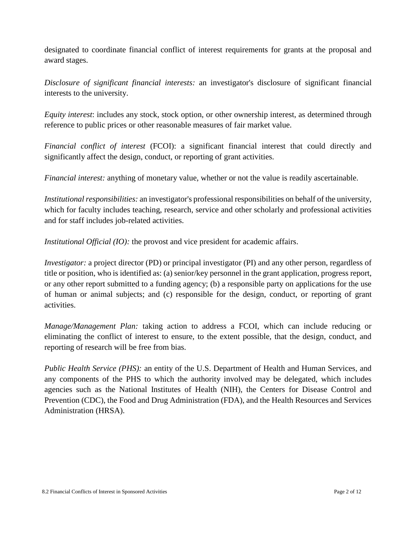designated to coordinate financial conflict of interest requirements for grants at the proposal and award stages.

*Disclosure of significant financial interests:* an investigator's disclosure of significant financial interests to the university.

*Equity interest*: includes any stock, stock option, or other ownership interest, as determined through reference to public prices or other reasonable measures of fair market value.

*Financial conflict of interest* (FCOI): a significant financial interest that could directly and significantly affect the design, conduct, or reporting of grant activities.

*Financial interest:* anything of monetary value, whether or not the value is readily ascertainable.

*Institutional responsibilities:* an investigator's professional responsibilities on behalf of the university, which for faculty includes teaching, research, service and other scholarly and professional activities and for staff includes job-related activities.

*Institutional Official (IO):* the provost and vice president for academic affairs.

*Investigator:* a project director (PD) or principal investigator (PI) and any other person, regardless of title or position, who is identified as: (a) senior/key personnel in the grant application, progress report, or any other report submitted to a funding agency; (b) a responsible party on applications for the use of human or animal subjects; and (c) responsible for the design, conduct, or reporting of grant activities.

*Manage/Management Plan:* taking action to address a FCOI, which can include reducing or eliminating the conflict of interest to ensure, to the extent possible, that the design, conduct, and reporting of research will be free from bias.

*Public Health Service (PHS):* an entity of the U.S. Department of Health and Human Services, and any components of the PHS to which the authority involved may be delegated, which includes agencies such as the National Institutes of Health (NIH), the Centers for Disease Control and Prevention (CDC), the Food and Drug Administration (FDA), and the Health Resources and Services Administration (HRSA).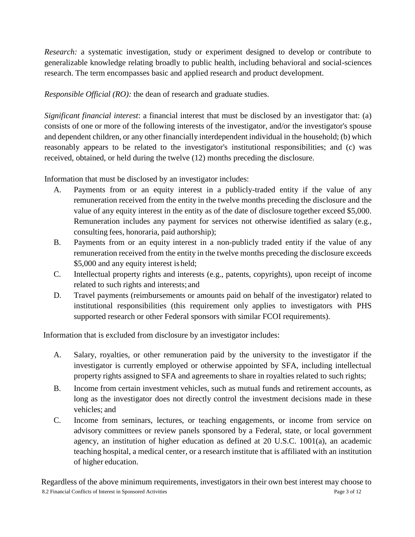*Research:* a systematic investigation, study or experiment designed to develop or contribute to generalizable knowledge relating broadly to public health, including behavioral and social-sciences research. The term encompasses basic and applied research and product development.

*Responsible Official (RO):* the dean of research and graduate studies.

*Significant financial interest*: a financial interest that must be disclosed by an investigator that: (a) consists of one or more of the following interests of the investigator, and/or the investigator's spouse and dependent children, or any other financially interdependent individual in the household; (b) which reasonably appears to be related to the investigator's institutional responsibilities; and (c) was received, obtained, or held during the twelve (12) months preceding the disclosure.

Information that must be disclosed by an investigator includes:

- A. Payments from or an equity interest in a publicly-traded entity if the value of any remuneration received from the entity in the twelve months preceding the disclosure and the value of any equity interest in the entity as of the date of disclosure together exceed \$5,000. Remuneration includes any payment for services not otherwise identified as salary (e.g., consulting fees, honoraria, paid authorship);
- B. Payments from or an equity interest in a non-publicly traded entity if the value of any remuneration received from the entity in the twelve months preceding the disclosure exceeds \$5,000 and any equity interest is held;
- C. Intellectual property rights and interests (e.g., patents, copyrights), upon receipt of income related to such rights and interests; and
- D. Travel payments (reimbursements or amounts paid on behalf of the investigator) related to institutional responsibilities (this requirement only applies to investigators with PHS supported research or other Federal sponsors with similar FCOI requirements).

Information that is excluded from disclosure by an investigator includes:

- A. Salary, royalties, or other remuneration paid by the university to the investigator if the investigator is currently employed or otherwise appointed by SFA, including intellectual property rights assigned to SFA and agreements to share in royalties related to such rights;
- B. Income from certain investment vehicles, such as mutual funds and retirement accounts, as long as the investigator does not directly control the investment decisions made in these vehicles; and
- C. Income from seminars, lectures, or teaching engagements, or income from service on advisory committees or review panels sponsored by a Federal, state, or local government agency, an institution of higher education as defined at 20 U.S.C. 1001(a), an academic teaching hospital, a medical center, or a research institute that is affiliated with an institution of higher education.

8.2 Financial Conflicts of Interest in Sponsored Activities Page 3 of 12 Regardless of the above minimum requirements, investigators in their own best interest may choose to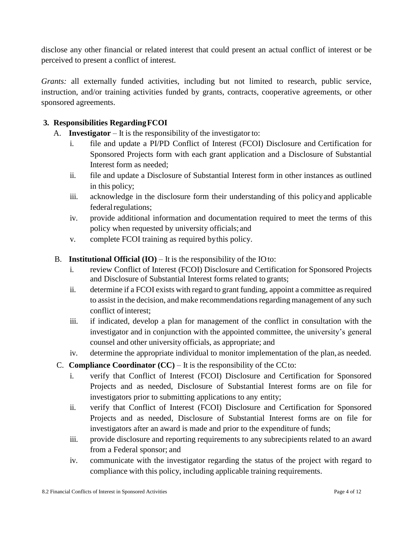disclose any other financial or related interest that could present an actual conflict of interest or be perceived to present a conflict of interest.

*Grants:* all externally funded activities, including but not limited to research, public service, instruction, and/or training activities funded by grants, contracts, cooperative agreements, or other sponsored agreements.

### **3. Responsibilities RegardingFCOI**

- A. **Investigator** It is the responsibility of the investigator to:
	- i. file and update a PI/PD Conflict of Interest (FCOI) Disclosure and Certification for Sponsored Projects form with each grant application and a Disclosure of Substantial Interest form as needed;
	- ii. file and update a Disclosure of Substantial Interest form in other instances as outlined in this policy;
	- iii. acknowledge in the disclosure form their understanding of this policyand applicable federal regulations;
	- iv. provide additional information and documentation required to meet the terms of this policy when requested by university officials; and
	- v. complete FCOI training as required bythis policy.
- B. **Institutional Official**  $(IO)$  It is the responsibility of the IOto:
	- i. review Conflict of Interest (FCOI) Disclosure and Certification for Sponsored Projects and Disclosure of Substantial Interest forms related to grants;
	- ii. determine if a FCOI exists with regard to grant funding, appoint a committee as required to assist in the decision, and make recommendations regarding management of any such conflict of interest:
	- iii. if indicated, develop a plan for management of the conflict in consultation with the investigator and in conjunction with the appointed committee, the university's general counsel and other university officials, as appropriate; and
	- iv. determine the appropriate individual to monitor implementation of the plan, as needed.
- C. **Compliance Coordinator**  $(CC)$  It is the responsibility of the CC to:
	- i. verify that Conflict of Interest (FCOI) Disclosure and Certification for Sponsored Projects and as needed, Disclosure of Substantial Interest forms are on file for investigators prior to submitting applications to any entity;
	- ii. verify that Conflict of Interest (FCOI) Disclosure and Certification for Sponsored Projects and as needed, Disclosure of Substantial Interest forms are on file for investigators after an award is made and prior to the expenditure of funds;
	- iii. provide disclosure and reporting requirements to any subrecipients related to an award from a Federal sponsor; and
	- iv. communicate with the investigator regarding the status of the project with regard to compliance with this policy, including applicable training requirements.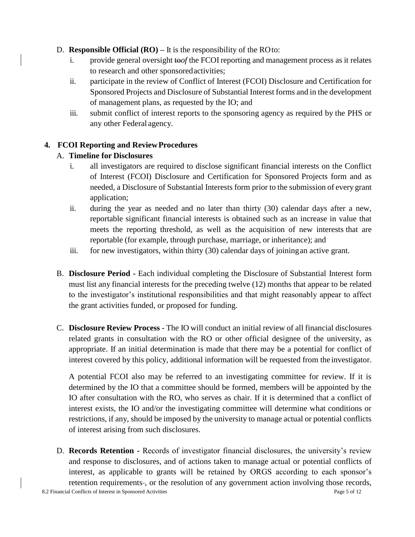- D. **Responsible Official (RO) –** It is the responsibility of the ROto:
	- i. provide general oversight to*of* the FCOI reporting and management process as it relates to research and other sponsoredactivities;
	- ii. participate in the review of Conflict of Interest (FCOI) Disclosure and Certification for Sponsored Projects and Disclosure of Substantial Interest forms and in the development of management plans, as requested by the IO; and
	- iii. submit conflict of interest reports to the sponsoring agency as required by the PHS or any other Federal agency.

#### **4. FCOI Reporting and ReviewProcedures**

#### A. **Timeline for Disclosures**

- i. all investigators are required to disclose significant financial interests on the Conflict of Interest (FCOI) Disclosure and Certification for Sponsored Projects form and as needed, a Disclosure of Substantial Interests form prior to the submission of every grant application;
- ii. during the year as needed and no later than thirty (30) calendar days after a new, reportable significant financial interests is obtained such as an increase in value that meets the reporting threshold, as well as the acquisition of new interests that are reportable (for example, through purchase, marriage, or inheritance); and
- iii. for new investigators, within thirty (30) calendar days of joiningan active grant.
- B. **Disclosure Period -** Each individual completing the Disclosure of Substantial Interest form must list any financial interests for the preceding twelve (12) months that appear to be related to the investigator's institutional responsibilities and that might reasonably appear to affect the grant activities funded, or proposed for funding.
- C. **Disclosure Review Process**  The IO will conduct an initial review of all financial disclosures related grants in consultation with the RO or other official designee of the university, as appropriate. If an initial determination is made that there may be a potential for conflict of interest covered by this policy, additional information will be requested from the investigator.

A potential FCOI also may be referred to an investigating committee for review. If it is determined by the IO that a committee should be formed, members will be appointed by the IO after consultation with the RO, who serves as chair. If it is determined that a conflict of interest exists, the IO and/or the investigating committee will determine what conditions or restrictions, if any, should be imposed by the university to manage actual or potential conflicts of interest arising from such disclosures.

D. **Records Retention -** Records of investigator financial disclosures, the university's review and response to disclosures, and of actions taken to manage actual or potential conflicts of interest, as applicable to grants will be retained by ORGS according to each sponsor's retention requirements-, or the resolution of any government action involving those records,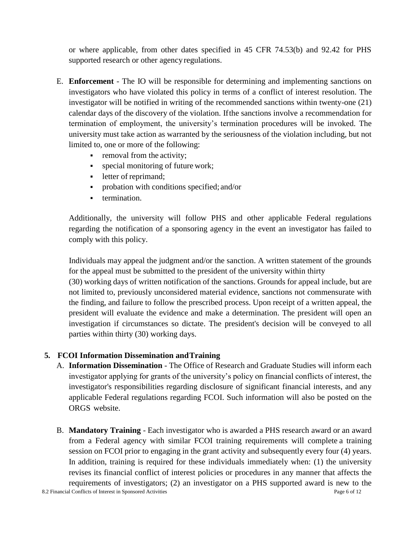or where applicable, from other dates specified in 45 CFR 74.53(b) and 92.42 for PHS supported research or other agency regulations.

- E. **Enforcement**  The IO will be responsible for determining and implementing sanctions on investigators who have violated this policy in terms of a conflict of interest resolution. The investigator will be notified in writing of the recommended sanctions within twenty-one (21) calendar days of the discovery of the violation. Ifthe sanctions involve a recommendation for termination of employment, the university's termination procedures will be invoked. The university must take action as warranted by the seriousness of the violation including, but not limited to, one or more of the following:
	- **•** removal from the activity;
	- **•** special monitoring of future work;
	- **•** letter of reprimand;
	- probation with conditions specified; and/or
	- **•** termination.

Additionally, the university will follow PHS and other applicable Federal regulations regarding the notification of a sponsoring agency in the event an investigator has failed to comply with this policy.

Individuals may appeal the judgment and/or the sanction. A written statement of the grounds for the appeal must be submitted to the president of the university within thirty (30) working days of written notification of the sanctions. Grounds for appeal include, but are not limited to, previously unconsidered material evidence, sanctions not commensurate with the finding, and failure to follow the prescribed process. Upon receipt of a written appeal, the president will evaluate the evidence and make a determination. The president will open an investigation if circumstances so dictate. The president's decision will be conveyed to all parties within thirty (30) working days.

#### **5. FCOI Information Dissemination andTraining**

- A. **Information Dissemination**  The Office of Research and Graduate Studies will inform each investigator applying for grants of the university's policy on financial conflicts of interest, the investigator's responsibilities regarding disclosure of significant financial interests, and any applicable Federal regulations regarding FCOI. Such information will also be posted on the ORGS website.
- B. **Mandatory Training** Each investigator who is awarded a PHS research award or an award from a Federal agency with similar FCOI training requirements will complete a training session on FCOI prior to engaging in the grant activity and subsequently every four (4) years. In addition, training is required for these individuals immediately when: (1) the university revises its financial conflict of interest policies or procedures in any manner that affects the requirements of investigators; (2) an investigator on a PHS supported award is new to the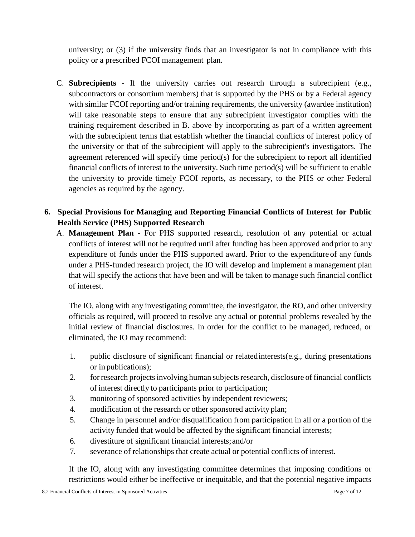university; or (3) if the university finds that an investigator is not in compliance with this policy or a prescribed FCOI management plan.

- C. **Subrecipients**  If the university carries out research through a subrecipient (e.g., subcontractors or consortium members) that is supported by the PHS or by a Federal agency with similar FCOI reporting and/or training requirements, the university (awardee institution) will take reasonable steps to ensure that any subrecipient investigator complies with the training requirement described in B. above by incorporating as part of a written agreement with the subrecipient terms that establish whether the financial conflicts of interest policy of the university or that of the subrecipient will apply to the subrecipient's investigators. The agreement referenced will specify time period(s) for the subrecipient to report all identified financial conflicts of interest to the university. Such time period(s) will be sufficient to enable the university to provide timely FCOI reports, as necessary, to the PHS or other Federal agencies as required by the agency.
- **6. Special Provisions for Managing and Reporting Financial Conflicts of Interest for Public Health Service (PHS) Supported Research**
	- A. **Management Plan -** For PHS supported research, resolution of any potential or actual conflicts of interest will not be required until after funding has been approved andprior to any expenditure of funds under the PHS supported award. Prior to the expenditure of any funds under a PHS-funded research project, the IO will develop and implement a management plan that will specify the actions that have been and will be taken to manage such financial conflict of interest.

The IO, along with any investigating committee, the investigator, the RO, and other university officials as required, will proceed to resolve any actual or potential problems revealed by the initial review of financial disclosures. In order for the conflict to be managed, reduced, or eliminated, the IO may recommend:

- 1. public disclosure of significant financial or relatedinterests(e.g., during presentations or in publications);
- 2. for research projects involving human subjects research, disclosure of financial conflicts of interest directly to participants prior to participation;
- 3. monitoring of sponsored activities by independent reviewers;
- 4. modification of the research or other sponsored activity plan;
- 5. Change in personnel and/or disqualification from participation in all or a portion of the activity funded that would be affected by the significant financial interests;
- 6. divestiture of significant financial interests;and/or
- 7. severance of relationships that create actual or potential conflicts of interest.

If the IO, along with any investigating committee determines that imposing conditions or restrictions would either be ineffective or inequitable, and that the potential negative impacts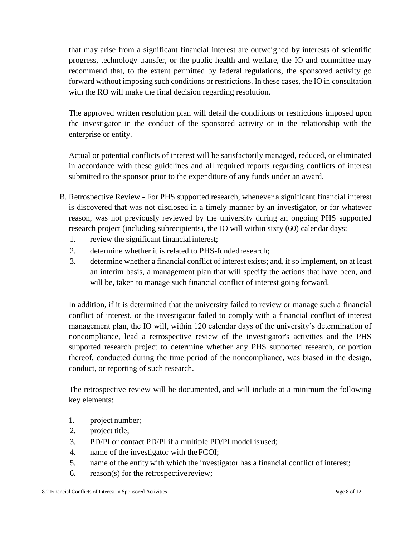that may arise from a significant financial interest are outweighed by interests of scientific progress, technology transfer, or the public health and welfare, the IO and committee may recommend that, to the extent permitted by federal regulations, the sponsored activity go forward without imposing such conditions or restrictions. In these cases, the IO in consultation with the RO will make the final decision regarding resolution.

The approved written resolution plan will detail the conditions or restrictions imposed upon the investigator in the conduct of the sponsored activity or in the relationship with the enterprise or entity.

Actual or potential conflicts of interest will be satisfactorily managed, reduced, or eliminated in accordance with these guidelines and all required reports regarding conflicts of interest submitted to the sponsor prior to the expenditure of any funds under an award.

- B. Retrospective Review For PHS supported research, whenever a significant financial interest is discovered that was not disclosed in a timely manner by an investigator, or for whatever reason, was not previously reviewed by the university during an ongoing PHS supported research project (including subrecipients), the IO will within sixty (60) calendar days:
	- 1. review the significant financialinterest;
	- 2. determine whether it is related to PHS-fundedresearch;
	- 3. determine whether a financial conflict of interest exists; and, if so implement, on at least an interim basis, a management plan that will specify the actions that have been, and will be, taken to manage such financial conflict of interest going forward.

In addition, if it is determined that the university failed to review or manage such a financial conflict of interest, or the investigator failed to comply with a financial conflict of interest management plan, the IO will, within 120 calendar days of the university's determination of noncompliance, lead a retrospective review of the investigator's activities and the PHS supported research project to determine whether any PHS supported research, or portion thereof, conducted during the time period of the noncompliance, was biased in the design, conduct, or reporting of such research.

The retrospective review will be documented, and will include at a minimum the following key elements:

- 1. project number;
- 2. project title;
- 3. PD/PI or contact PD/PI if a multiple PD/PI model isused;
- 4. name of the investigator with theFCOI;
- 5. name of the entity with which the investigator has a financial conflict of interest;
- 6. reason(s) for the retrospectivereview;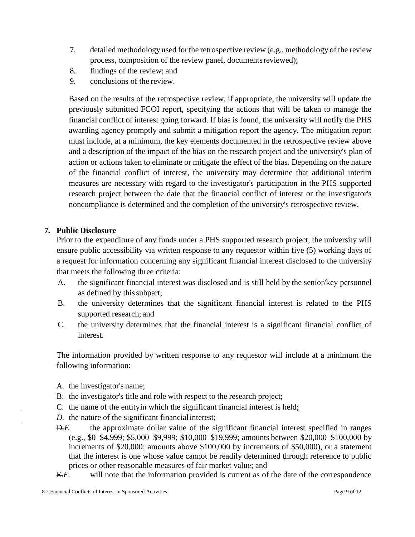- 7. detailed methodology used forthe retrospective review (e.g., methodology of the review process, composition of the review panel, documentsreviewed);
- 8. findings of the review; and
- 9. conclusions of the review.

Based on the results of the retrospective review, if appropriate, the university will update the previously submitted FCOI report, specifying the actions that will be taken to manage the financial conflict of interest going forward. If bias is found, the university will notify the PHS awarding agency promptly and submit a mitigation report the agency. The mitigation report must include, at a minimum, the key elements documented in the retrospective review above and a description of the impact of the bias on the research project and the university's plan of action or actions taken to eliminate or mitigate the effect of the bias. Depending on the nature of the financial conflict of interest, the university may determine that additional interim measures are necessary with regard to the investigator's participation in the PHS supported research project between the date that the financial conflict of interest or the investigator's noncompliance is determined and the completion of the university's retrospective review.

#### **7. Public Disclosure**

Prior to the expenditure of any funds under a PHS supported research project, the university will ensure public accessibility via written response to any requestor within five (5) working days of a request for information concerning any significant financial interest disclosed to the university that meets the following three criteria:

- A. the significant financial interest was disclosed and is still held by the senior/key personnel as defined by thissubpart;
- B. the university determines that the significant financial interest is related to the PHS supported research; and
- C. the university determines that the financial interest is a significant financial conflict of interest.

The information provided by written response to any requestor will include at a minimum the following information:

- A. the investigator's name;
- B. the investigator's title and role with respect to the research project;
- C. the name of the entityin which the significant financial interest is held;
- *D.* the nature of the significant financial interest;
- D.*E.* the approximate dollar value of the significant financial interest specified in ranges (e.g., \$0–\$4,999; \$5,000–\$9,999; \$10,000–\$19,999; amounts between \$20,000–\$100,000 by increments of \$20,000; amounts above \$100,000 by increments of \$50,000), or a statement that the interest is one whose value cannot be readily determined through reference to public prices or other reasonable measures of fair market value; and
- E.*F.* will note that the information provided is current as of the date of the correspondence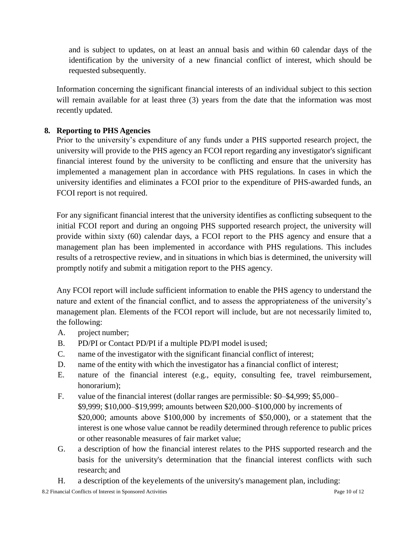and is subject to updates, on at least an annual basis and within 60 calendar days of the identification by the university of a new financial conflict of interest, which should be requested subsequently.

Information concerning the significant financial interests of an individual subject to this section will remain available for at least three (3) years from the date that the information was most recently updated.

#### **8. Reporting to PHS Agencies**

Prior to the university's expenditure of any funds under a PHS supported research project, the university will provide to the PHS agency an FCOI report regarding any investigator's significant financial interest found by the university to be conflicting and ensure that the university has implemented a management plan in accordance with PHS regulations. In cases in which the university identifies and eliminates a FCOI prior to the expenditure of PHS-awarded funds, an FCOI report is not required.

For any significant financial interest that the university identifies as conflicting subsequent to the initial FCOI report and during an ongoing PHS supported research project, the university will provide within sixty (60) calendar days, a FCOI report to the PHS agency and ensure that a management plan has been implemented in accordance with PHS regulations. This includes results of a retrospective review, and in situations in which bias is determined, the university will promptly notify and submit a mitigation report to the PHS agency.

Any FCOI report will include sufficient information to enable the PHS agency to understand the nature and extent of the financial conflict, and to assess the appropriateness of the university's management plan. Elements of the FCOI report will include, but are not necessarily limited to, the following:

- A. project number;
- B. PD/PI or Contact PD/PI if a multiple PD/PI model isused;
- C. name of the investigator with the significant financial conflict of interest;
- D. name of the entity with which the investigator has a financial conflict of interest;
- E. nature of the financial interest (e.g., equity, consulting fee, travel reimbursement, honorarium);
- F. value of the financial interest (dollar ranges are permissible: \$0–\$4,999; \$5,000– \$9,999; \$10,000–\$19,999; amounts between \$20,000–\$100,000 by increments of \$20,000; amounts above \$100,000 by increments of \$50,000), or a statement that the interest is one whose value cannot be readily determined through reference to public prices or other reasonable measures of fair market value;
- G. a description of how the financial interest relates to the PHS supported research and the basis for the university's determination that the financial interest conflicts with such research; and
- H. a description of the keyelements of the university's management plan, including: